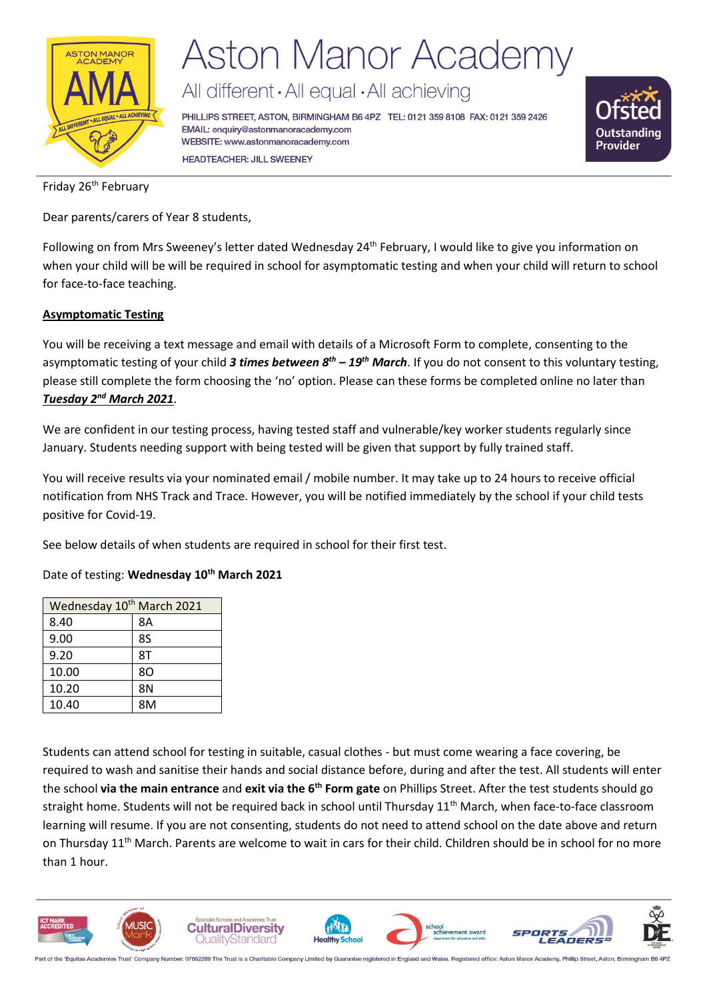

# **Aston Manor Academy**

All different · All equal · All achieving

PHILLIPS STREET, ASTON, BIRMINGHAM B6 4PZ TEL: 0121 359 8108 FAX: 0121 359 2426 EMAIL: enquiry@astonmanoracademy.com WEBSITE: www.astonmanoracademy.com **HEADTEACHER: JILL SWEENEY** 



Friday 26<sup>th</sup> February

Dear parents/carers of Year 8 students,

Following on from Mrs Sweeney's letter dated Wednesday 24<sup>th</sup> February, I would like to give you information on when your child will be will be required in school for asymptomatic testing and when your child will return to school for face-to-face teaching.

### **Asymptomatic Testing**

You will be receiving a text message and email with details of a Microsoft Form to complete, consenting to the asymptomatic testing of your child *3 times between 8th – 19th March*. If you do not consent to this voluntary testing, please still complete the form choosing the 'no' option. Please can these forms be completed online no later than *Tuesday 2nd March 2021*.

We are confident in our testing process, having tested staff and vulnerable/key worker students regularly since January. Students needing support with being tested will be given that support by fully trained staff.

You will receive results via your nominated email / mobile number. It may take up to 24 hours to receive official notification from NHS Track and Trace. However, you will be notified immediately by the school if your child tests positive for Covid-19.

See below details of when students are required in school for their first test.

Date of testing: **Wednesday 10th March 2021**

| Wednesday 10 <sup>th</sup> March 2021 |           |  |  |
|---------------------------------------|-----------|--|--|
| 8.40                                  | 8A        |  |  |
| 9.00                                  | <b>8S</b> |  |  |
| 9.20                                  | 8T        |  |  |
| 10.00                                 | 80        |  |  |
| 10.20                                 | 8N        |  |  |
| 10.40                                 | 8M        |  |  |

Students can attend school for testing in suitable, casual clothes - but must come wearing a face covering, be required to wash and sanitise their hands and social distance before, during and after the test. All students will enter the school **via the main entrance** and **exit via the 6th Form gate** on Phillips Street. After the test students should go straight home. Students will not be required back in school until Thursday 11<sup>th</sup> March, when face-to-face classroom learning will resume. If you are not consenting, students do not need to attend school on the date above and return on Thursday  $11<sup>th</sup>$  March. Parents are welcome to wait in cars for their child. Children should be in school for no more than 1 hour.